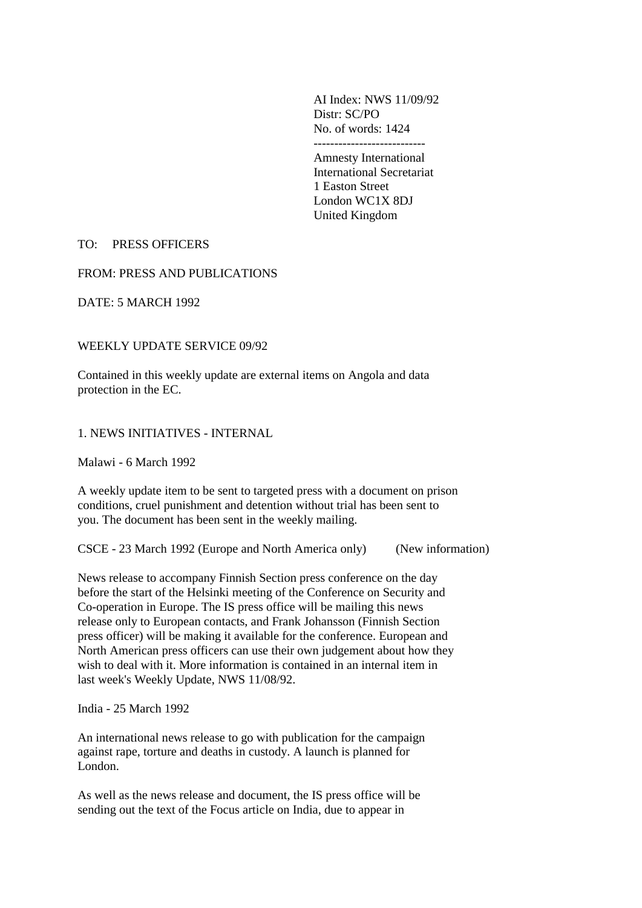AI Index: NWS 11/09/92 Distr: SC/PO No. of words: 1424 ---------------------------

Amnesty International International Secretariat 1 Easton Street London WC1X 8DJ United Kingdom

## TO: PRESS OFFICERS

#### FROM: PRESS AND PUBLICATIONS

DATE: 5 MARCH 1992

## WEEKLY UPDATE SERVICE 09/92

Contained in this weekly update are external items on Angola and data protection in the EC.

## 1. NEWS INITIATIVES - INTERNAL

Malawi - 6 March 1992

A weekly update item to be sent to targeted press with a document on prison conditions, cruel punishment and detention without trial has been sent to you. The document has been sent in the weekly mailing.

CSCE - 23 March 1992 (Europe and North America only) (New information)

News release to accompany Finnish Section press conference on the day before the start of the Helsinki meeting of the Conference on Security and Co-operation in Europe. The IS press office will be mailing this news release only to European contacts, and Frank Johansson (Finnish Section press officer) will be making it available for the conference. European and North American press officers can use their own judgement about how they wish to deal with it. More information is contained in an internal item in last week's Weekly Update, NWS 11/08/92.

India - 25 March 1992

An international news release to go with publication for the campaign against rape, torture and deaths in custody. A launch is planned for London.

As well as the news release and document, the IS press office will be sending out the text of the Focus article on India, due to appear in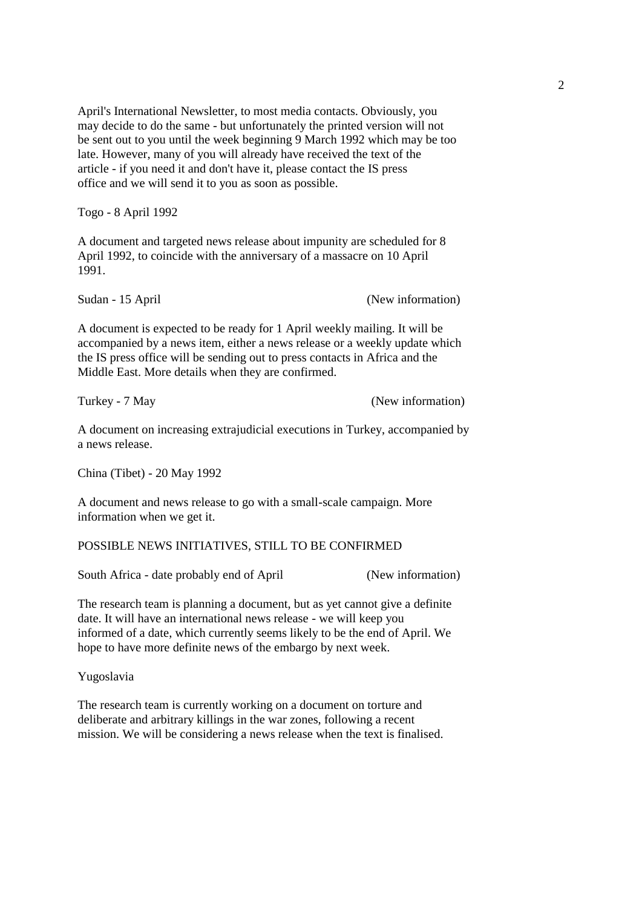April's International Newsletter, to most media contacts. Obviously, you may decide to do the same - but unfortunately the printed version will not be sent out to you until the week beginning 9 March 1992 which may be too late. However, many of you will already have received the text of the article - if you need it and don't have it, please contact the IS press office and we will send it to you as soon as possible.

Togo - 8 April 1992

A document and targeted news release about impunity are scheduled for 8 April 1992, to coincide with the anniversary of a massacre on 10 April 1991.

Sudan - 15 April (New information)

A document is expected to be ready for 1 April weekly mailing. It will be accompanied by a news item, either a news release or a weekly update which the IS press office will be sending out to press contacts in Africa and the Middle East. More details when they are confirmed.

Turkey - 7 May (New information)

A document on increasing extrajudicial executions in Turkey, accompanied by a news release.

China (Tibet) - 20 May 1992

A document and news release to go with a small-scale campaign. More information when we get it.

### POSSIBLE NEWS INITIATIVES, STILL TO BE CONFIRMED

South Africa - date probably end of April (New information)

The research team is planning a document, but as yet cannot give a definite date. It will have an international news release - we will keep you informed of a date, which currently seems likely to be the end of April. We hope to have more definite news of the embargo by next week.

Yugoslavia

The research team is currently working on a document on torture and deliberate and arbitrary killings in the war zones, following a recent mission. We will be considering a news release when the text is finalised.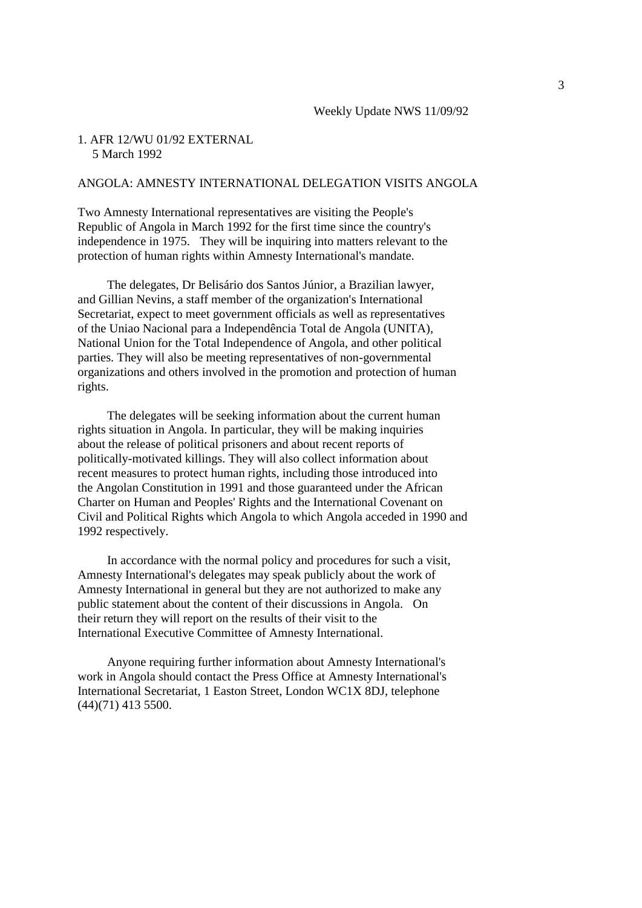#### 1. AFR 12/WU 01/92 EXTERNAL 5 March 1992

### ANGOLA: AMNESTY INTERNATIONAL DELEGATION VISITS ANGOLA

Two Amnesty International representatives are visiting the People's Republic of Angola in March 1992 for the first time since the country's independence in 1975. They will be inquiring into matters relevant to the protection of human rights within Amnesty International's mandate.

 The delegates, Dr Belisário dos Santos Júnior, a Brazilian lawyer, and Gillian Nevins, a staff member of the organization's International Secretariat, expect to meet government officials as well as representatives of the Uniao Nacional para a Independência Total de Angola (UNITA), National Union for the Total Independence of Angola, and other political parties. They will also be meeting representatives of non-governmental organizations and others involved in the promotion and protection of human rights.

 The delegates will be seeking information about the current human rights situation in Angola. In particular, they will be making inquiries about the release of political prisoners and about recent reports of politically-motivated killings. They will also collect information about recent measures to protect human rights, including those introduced into the Angolan Constitution in 1991 and those guaranteed under the African Charter on Human and Peoples' Rights and the International Covenant on Civil and Political Rights which Angola to which Angola acceded in 1990 and 1992 respectively.

 In accordance with the normal policy and procedures for such a visit, Amnesty International's delegates may speak publicly about the work of Amnesty International in general but they are not authorized to make any public statement about the content of their discussions in Angola. On their return they will report on the results of their visit to the International Executive Committee of Amnesty International.

 Anyone requiring further information about Amnesty International's work in Angola should contact the Press Office at Amnesty International's International Secretariat, 1 Easton Street, London WC1X 8DJ, telephone (44)(71) 413 5500.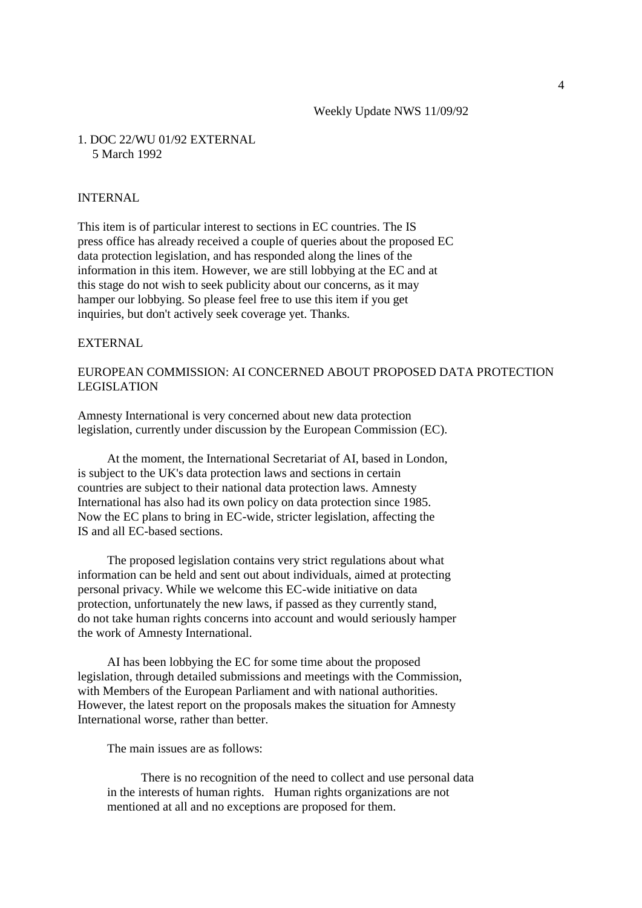#### 1. DOC 22/WU 01/92 EXTERNAL 5 March 1992

#### INTERNAL

This item is of particular interest to sections in EC countries. The IS press office has already received a couple of queries about the proposed EC data protection legislation, and has responded along the lines of the information in this item. However, we are still lobbying at the EC and at this stage do not wish to seek publicity about our concerns, as it may hamper our lobbying. So please feel free to use this item if you get inquiries, but don't actively seek coverage yet. Thanks.

#### EXTERNAL

# EUROPEAN COMMISSION: AI CONCERNED ABOUT PROPOSED DATA PROTECTION LEGISLATION

Amnesty International is very concerned about new data protection legislation, currently under discussion by the European Commission (EC).

 At the moment, the International Secretariat of AI, based in London, is subject to the UK's data protection laws and sections in certain countries are subject to their national data protection laws. Amnesty International has also had its own policy on data protection since 1985. Now the EC plans to bring in EC-wide, stricter legislation, affecting the IS and all EC-based sections.

 The proposed legislation contains very strict regulations about what information can be held and sent out about individuals, aimed at protecting personal privacy. While we welcome this EC-wide initiative on data protection, unfortunately the new laws, if passed as they currently stand, do not take human rights concerns into account and would seriously hamper the work of Amnesty International.

 AI has been lobbying the EC for some time about the proposed legislation, through detailed submissions and meetings with the Commission, with Members of the European Parliament and with national authorities. However, the latest report on the proposals makes the situation for Amnesty International worse, rather than better.

The main issues are as follows:

 There is no recognition of the need to collect and use personal data in the interests of human rights. Human rights organizations are not mentioned at all and no exceptions are proposed for them.